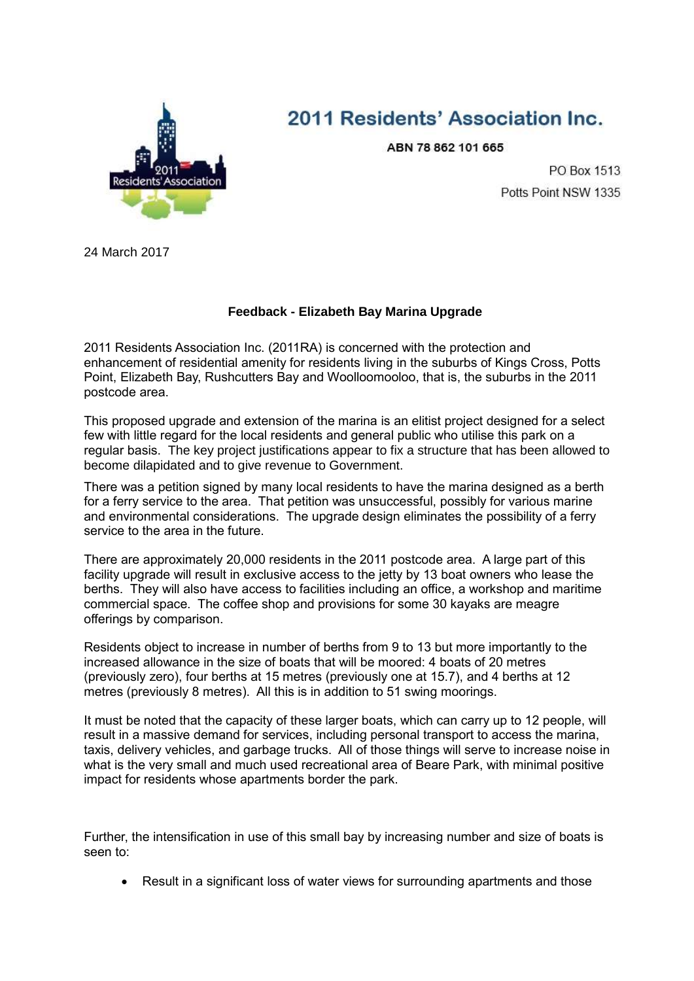

## 2011 Residents' Association Inc.

ABN 78 862 101 665

PO Box 1513 Potts Point NSW 1335

24 March 2017

## **Feedback - Elizabeth Bay Marina Upgrade**

2011 Residents Association Inc. (2011RA) is concerned with the protection and enhancement of residential amenity for residents living in the suburbs of Kings Cross, Potts Point, Elizabeth Bay, Rushcutters Bay and Woolloomooloo, that is, the suburbs in the 2011 postcode area.

This proposed upgrade and extension of the marina is an elitist project designed for a select few with little regard for the local residents and general public who utilise this park on a regular basis. The key project justifications appear to fix a structure that has been allowed to become dilapidated and to give revenue to Government.

There was a petition signed by many local residents to have the marina designed as a berth for a ferry service to the area. That petition was unsuccessful, possibly for various marine and environmental considerations. The upgrade design eliminates the possibility of a ferry service to the area in the future.

There are approximately 20,000 residents in the 2011 postcode area. A large part of this facility upgrade will result in exclusive access to the jetty by 13 boat owners who lease the berths. They will also have access to facilities including an office, a workshop and maritime commercial space. The coffee shop and provisions for some 30 kayaks are meagre offerings by comparison.

Residents object to increase in number of berths from 9 to 13 but more importantly to the increased allowance in the size of boats that will be moored: 4 boats of 20 metres (previously zero), four berths at 15 metres (previously one at 15.7), and 4 berths at 12 metres (previously 8 metres). All this is in addition to 51 swing moorings.

It must be noted that the capacity of these larger boats, which can carry up to 12 people, will result in a massive demand for services, including personal transport to access the marina, taxis, delivery vehicles, and garbage trucks. All of those things will serve to increase noise in what is the very small and much used recreational area of Beare Park, with minimal positive impact for residents whose apartments border the park.

Further, the intensification in use of this small bay by increasing number and size of boats is seen to:

• Result in a significant loss of water views for surrounding apartments and those